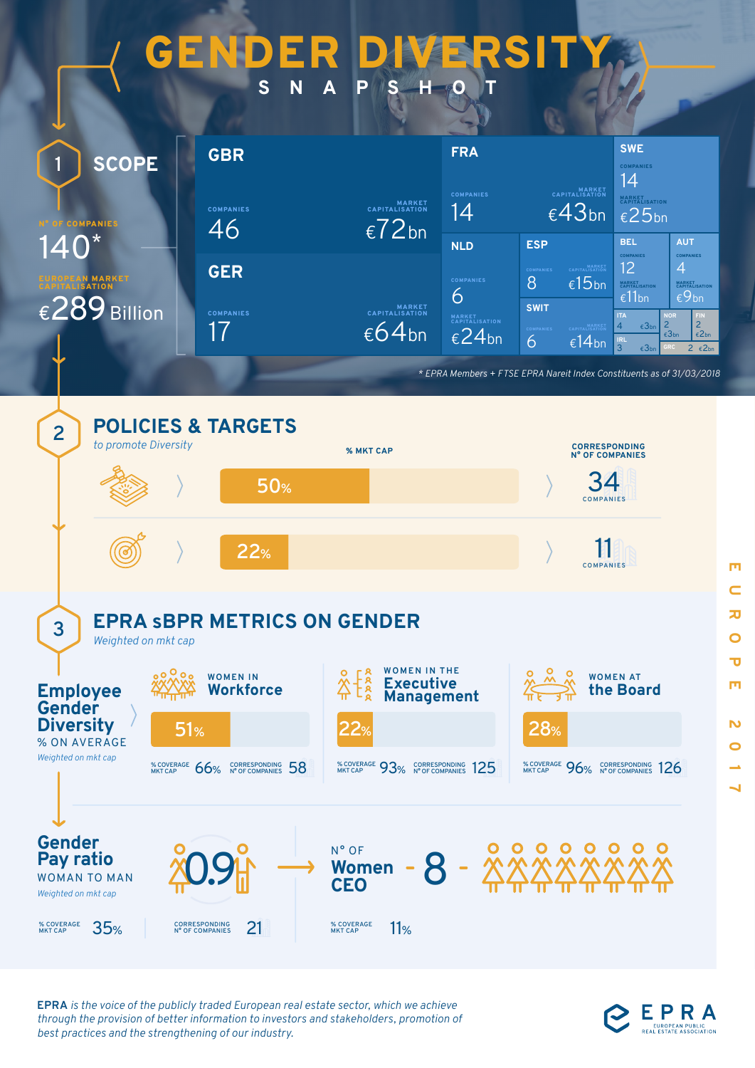## GENDER DIVERS **SNAPSHOT**

| <b>SCOPE</b>                                                                                 | <b>GBR</b>             | <b>FRA</b>                                              |                                                                                   |                                      | <b>SWE</b><br><b>COMPANIES</b><br>14                    |                                                                                                                                                          |                                                                                                                   |
|----------------------------------------------------------------------------------------------|------------------------|---------------------------------------------------------|-----------------------------------------------------------------------------------|--------------------------------------|---------------------------------------------------------|----------------------------------------------------------------------------------------------------------------------------------------------------------|-------------------------------------------------------------------------------------------------------------------|
| <b>COMPANIES</b><br>$140^*$<br><b>EAN MARKET</b><br><b>ISATION</b><br>$\epsilon$ 289 Billion | <b>COMPANIES</b><br>46 | MARKET<br>CAPITALISATION<br>$\epsilon$ 72 <sub>bn</sub> | MARKET<br>CAPITALISATION<br><b>COMPANIES</b><br>$\epsilon$ 43 <sub>bn</sub><br>14 |                                      | <b>MARKET</b><br>CAPITALISATION<br>$\epsilon$ 25bn      |                                                                                                                                                          |                                                                                                                   |
|                                                                                              |                        |                                                         | <b>NLD</b>                                                                        | <b>ESP</b>                           |                                                         | <b>BEL</b>                                                                                                                                               | <b>AUT</b>                                                                                                        |
|                                                                                              | <b>GER</b>             |                                                         | <b>COMPANIES</b>                                                                  | <b>COMPANIES</b><br><b>8</b>         | MARKET<br>CAPITALISATION<br>$\epsilon$ 15 <sub>bn</sub> | <b>COMPANIES</b><br>12<br><b>MARKET</b><br>CAPITALISATION<br>€11bn                                                                                       | <b>COMPANIES</b><br>$\overline{4}$<br><b>MARKET</b><br>CAPITALISATION<br>$\epsilon$ 9 <sub>bn</sub>               |
|                                                                                              | <b>COMPANIES</b><br>17 | MARKET<br>CAPITALISATION<br>$\epsilon$ 64 <sub>bn</sub> | 6<br>MARKET<br>CAPITALISATION<br>$\epsilon$ 24 <sub>bn</sub>                      | <b>SWIT</b><br><b>COMPANIES</b><br>6 | MARKET<br>CAPITALISATION<br>€14 <sub>bn</sub>           | <b>NOR</b><br><b>ITA</b><br>$\overline{2}$<br>$\overline{4}$<br>$\epsilon$ 3 <sub>bn</sub><br><b>IRL</b><br>$\overline{3}$<br>$\epsilon$ 3 <sub>bn</sub> | FIN<br>$\overline{2}$<br>$\epsilon$ 2 <sub>bn</sub><br>$\epsilon$ 3 <sub>bn</sub><br>$2 \epsilon 2$ <sub>bn</sub> |

*\* EPRA Members + FTSE EPRA Nareit Index Constituents as of 31/03/2018*



**EPRA** *is the voice of the publicly traded European real estate sector, which we achieve through the provision of better information to investors and stakeholders, promotion of best practices and the strengthening of our industry.* 



EPRA

m